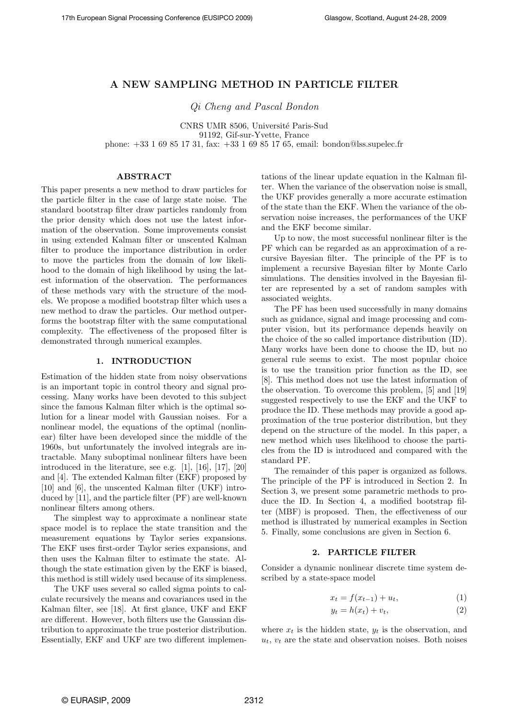# A NEW SAMPLING METHOD IN PARTICLE FILTER

Qi Cheng and Pascal Bondon

CNRS UMR 8506, Université Paris-Sud 91192, Gif-sur-Yvette, France phone: +33 1 69 85 17 31, fax: +33 1 69 85 17 65, email: bondon@lss.supelec.fr

## ABSTRACT

This paper presents a new method to draw particles for the particle filter in the case of large state noise. The standard bootstrap filter draw particles randomly from the prior density which does not use the latest information of the observation. Some improvements consist in using extended Kalman filter or unscented Kalman filter to produce the importance distribution in order to move the particles from the domain of low likelihood to the domain of high likelihood by using the latest information of the observation. The performances of these methods vary with the structure of the models. We propose a modified bootstrap filter which uses a new method to draw the particles. Our method outperforms the bootstrap filter with the same computational complexity. The effectiveness of the proposed filter is demonstrated through numerical examples.

#### 1. INTRODUCTION

Estimation of the hidden state from noisy observations is an important topic in control theory and signal processing. Many works have been devoted to this subject since the famous Kalman filter which is the optimal solution for a linear model with Gaussian noises. For a nonlinear model, the equations of the optimal (nonlinear) filter have been developed since the middle of the 1960s, but unfortunately the involved integrals are intractable. Many suboptimal nonlinear filters have been introduced in the literature, see e.g. [1], [16], [17], [20] and [4]. The extended Kalman filter (EKF) proposed by [10] and [6], the unscented Kalman filter (UKF) introduced by [11], and the particle filter (PF) are well-known nonlinear filters among others.

The simplest way to approximate a nonlinear state space model is to replace the state transition and the measurement equations by Taylor series expansions. The EKF uses first-order Taylor series expansions, and then uses the Kalman filter to estimate the state. Although the state estimation given by the EKF is biased, this method is still widely used because of its simpleness.

The UKF uses several so called sigma points to calculate recursively the means and covariances used in the Kalman filter, see [18]. At first glance, UKF and EKF are different. However, both filters use the Gaussian distribution to approximate the true posterior distribution. Essentially, EKF and UKF are two different implementations of the linear update equation in the Kalman filter. When the variance of the observation noise is small, the UKF provides generally a more accurate estimation of the state than the EKF. When the variance of the observation noise increases, the performances of the UKF and the EKF become similar.

Up to now, the most successful nonlinear filter is the PF which can be regarded as an approximation of a recursive Bayesian filter. The principle of the PF is to implement a recursive Bayesian filter by Monte Carlo simulations. The densities involved in the Bayesian filter are represented by a set of random samples with associated weights.

The PF has been used successfully in many domains such as guidance, signal and image processing and computer vision, but its performance depends heavily on the choice of the so called importance distribution (ID). Many works have been done to choose the ID, but no general rule seems to exist. The most popular choice is to use the transition prior function as the ID, see [8]. This method does not use the latest information of the observation. To overcome this problem, [5] and [19] suggested respectively to use the EKF and the UKF to produce the ID. These methods may provide a good approximation of the true posterior distribution, but they depend on the structure of the model. In this paper, a new method which uses likelihood to choose the particles from the ID is introduced and compared with the standard PF.

The remainder of this paper is organized as follows. The principle of the PF is introduced in Section 2. In Section 3, we present some parametric methods to produce the ID. In Section 4, a modified bootstrap filter (MBF) is proposed. Then, the effectiveness of our method is illustrated by numerical examples in Section 5. Finally, some conclusions are given in Section 6.

## 2. PARTICLE FILTER

Consider a dynamic nonlinear discrete time system described by a state-space model

$$
x_t = f(x_{t-1}) + u_t, \t\t(1)
$$

$$
y_t = h(x_t) + v_t,\t\t(2)
$$

where  $x_t$  is the hidden state,  $y_t$  is the observation, and  $u_t$ ,  $v_t$  are the state and observation noises. Both noises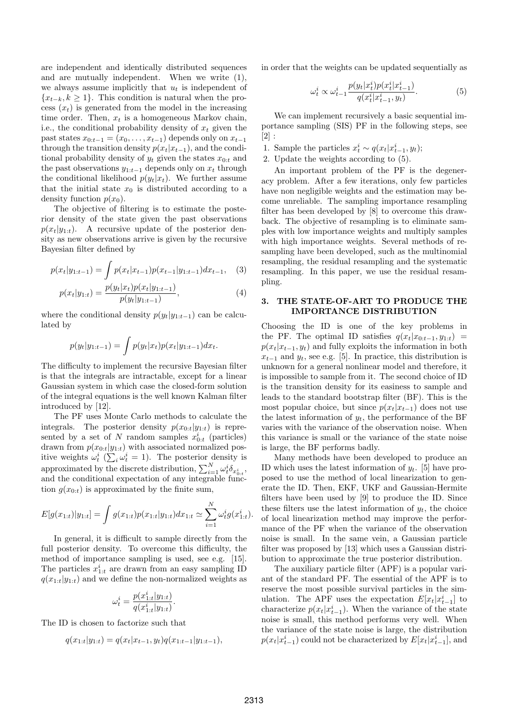are independent and identically distributed sequences and are mutually independent. When we write (1), we always assume implicitly that  $u_t$  is independent of  $\{x_{t-k}, k \geq 1\}$ . This condition is natural when the process  $(x_t)$  is generated from the model in the increasing time order. Then,  $x_t$  is a homogeneous Markov chain, i.e., the conditional probability density of  $x_t$  given the past states  $x_{0:t-1} = (x_0, \ldots, x_{t-1})$  depends only on  $x_{t-1}$ through the transition density  $p(x_t|x_{t-1})$ , and the conditional probability density of  $y_t$  given the states  $x_{0:t}$  and the past observations  $y_{1:t-1}$  depends only on  $x_t$  through the conditional likelihood  $p(y_t|x_t)$ . We further assume that the initial state  $x_0$  is distributed according to a density function  $p(x_0)$ .

The objective of filtering is to estimate the posterior density of the state given the past observations  $p(x_t|y_{1:t})$ . A recursive update of the posterior density as new observations arrive is given by the recursive Bayesian filter defined by

$$
p(x_t|y_{1:t-1}) = \int p(x_t|x_{t-1})p(x_{t-1}|y_{1:t-1})dx_{t-1}, \quad (3)
$$

$$
p(x_t|y_{1:t}) = \frac{p(y_t|x_t)p(x_t|y_{1:t-1})}{p(y_t|y_{1:t-1})},
$$
\n(4)

where the conditional density  $p(y_t|y_{1:t-1})$  can be calculated by

$$
p(y_t|y_{1:t-1}) = \int p(y_t|x_t)p(x_t|y_{1:t-1})dx_t.
$$

The difficulty to implement the recursive Bayesian filter is that the integrals are intractable, except for a linear Gaussian system in which case the closed-form solution of the integral equations is the well known Kalman filter introduced by [12].

The PF uses Monte Carlo methods to calculate the integrals. The posterior density  $p(x_{0:t}|y_{1:t})$  is represented by a set of N random samples  $x_{0:t}^i$  (particles) drawn from  $p(x_{0:t}|y_{1:t})$  with associated normalized positive weights  $\omega_t^i$  ( $\sum_i \omega_t^i = 1$ ). The posterior density is approximated by the discrete distribution,  $\sum_{i=1}^{N} \omega_t^i \delta_{x_{0:t}^i}$ , and the conditional expectation of any integrable function  $g(x_{0:t})$  is approximated by the finite sum,

$$
E[g(x_{1:t})|y_{1:t}] = \int g(x_{1:t})p(x_{1:t}|y_{1:t})dx_{1:t} \simeq \sum_{i=1}^{N} \omega_t^i g(x_{1:t}^i).
$$

In general, it is difficult to sample directly from the full posterior density. To overcome this difficulty, the method of importance sampling is used, see e.g. [15]. The particles  $x_{1:t}^i$  are drawn from an easy sampling ID  $q(x_{1:t}|y_{1:t})$  and we define the non-normalized weights as

$$
\omega_t^i = \frac{p(x_{1:t}^i|y_{1:t})}{q(x_{1:t}^i|y_{1:t})}.
$$

The ID is chosen to factorize such that

$$
q(x_{1:t}|y_{1:t}) = q(x_t|x_{t-1}, y_t)q(x_{1:t-1}|y_{1:t-1}),
$$

in order that the weights can be updated sequentially as

$$
\omega_t^i \propto \omega_{t-1}^i \frac{p(y_t|x_t^i)p(x_t^i|x_{t-1}^i)}{q(x_t^i|x_{t-1}^i, y_t)}.\tag{5}
$$

We can implement recursively a basic sequential importance sampling (SIS) PF in the following steps, see  $[2]$ :

- 1. Sample the particles  $x_t^i \sim q(x_t | x_{t-1}^i, y_t);$
- 2. Update the weights according to (5).

An important problem of the PF is the degeneracy problem. After a few iterations, only few particles have non negligible weights and the estimation may become unreliable. The sampling importance resampling filter has been developed by [8] to overcome this drawback. The objective of resampling is to eliminate samples with low importance weights and multiply samples with high importance weights. Several methods of resampling have been developed, such as the multinomial resampling, the residual resampling and the systematic resampling. In this paper, we use the residual resampling.

### 3. THE STATE-OF-ART TO PRODUCE THE IMPORTANCE DISTRIBUTION

Choosing the ID is one of the key problems in the PF. The optimal ID satisfies  $q(x_t|x_{0:t-1}, y_{1:t})$  =  $p(x_t|x_{t-1}, y_t)$  and fully exploits the information in both  $x_{t-1}$  and  $y_t$ , see e.g. [5]. In practice, this distribution is unknown for a general nonlinear model and therefore, it is impossible to sample from it. The second choice of ID is the transition density for its easiness to sample and leads to the standard bootstrap filter (BF). This is the most popular choice, but since  $p(x_t|x_{t-1})$  does not use the latest information of  $y_t$ , the performance of the BF varies with the variance of the observation noise. When this variance is small or the variance of the state noise is large, the BF performs badly.

Many methods have been developed to produce an ID which uses the latest information of  $y_t$ . [5] have proposed to use the method of local linearization to generate the ID. Then, EKF, UKF and Gaussian-Hermite filters have been used by [9] to produce the ID. Since these filters use the latest information of  $y_t$ , the choice of local linearization method may improve the performance of the PF when the variance of the observation noise is small. In the same vein, a Gaussian particle filter was proposed by [13] which uses a Gaussian distribution to approximate the true posterior distribution.

The auxiliary particle filter (APF) is a popular variant of the standard PF. The essential of the APF is to reserve the most possible survival particles in the simulation. The APF uses the expectation  $E[x_t|x_{t-1}^i]$  to characterize  $p(x_t|x_{t-1}^i)$ . When the variance of the state noise is small, this method performs very well. When the variance of the state noise is large, the distribution  $p(x_t|x_{t-1}^i)$  could not be characterized by  $E[x_t|x_{t-1}^i]$ , and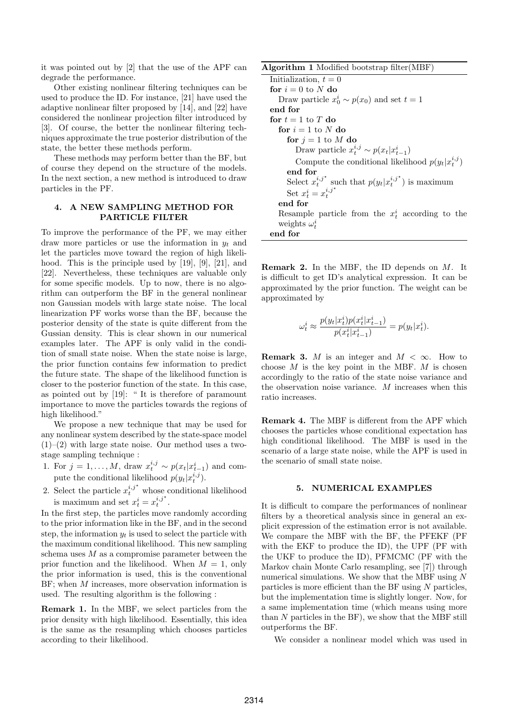it was pointed out by [2] that the use of the APF can degrade the performance.

Other existing nonlinear filtering techniques can be used to produce the ID. For instance, [21] have used the adaptive nonlinear filter proposed by [14], and [22] have considered the nonlinear projection filter introduced by [3]. Of course, the better the nonlinear filtering techniques approximate the true posterior distribution of the state, the better these methods perform.

These methods may perform better than the BF, but of course they depend on the structure of the models. In the next section, a new method is introduced to draw particles in the PF.

## 4. A NEW SAMPLING METHOD FOR PARTICLE FILTER

To improve the performance of the PF, we may either draw more particles or use the information in  $y_t$  and let the particles move toward the region of high likelihood. This is the principle used by [19], [9], [21], and [22]. Nevertheless, these techniques are valuable only for some specific models. Up to now, there is no algorithm can outperform the BF in the general nonlinear non Gaussian models with large state noise. The local linearization PF works worse than the BF, because the posterior density of the state is quite different from the Gussian density. This is clear shown in our numerical examples later. The APF is only valid in the condition of small state noise. When the state noise is large, the prior function contains few information to predict the future state. The shape of the likelihood function is closer to the posterior function of the state. In this case, as pointed out by [19]: " It is therefore of paramount importance to move the particles towards the regions of high likelihood."

We propose a new technique that may be used for any nonlinear system described by the state-space model  $(1)$ – $(2)$  with large state noise. Our method uses a twostage sampling technique :

- 1. For  $j = 1, ..., M$ , draw  $x_t^{i,j} \sim p(x_t | x_{t-1}^i)$  and compute the conditional likelihood  $p(y_t|x_t^{i,j})$ .
- 2. Select the particle  $x_t^{i,j^*}$  whose conditional likelihood is maximum and set  $x_t^i = x_t^{i,j^*}$ .

In the first step, the particles move randomly according to the prior information like in the BF, and in the second step, the information  $y_t$  is used to select the particle with the maximum conditional likelihood. This new sampling schema uses  $M$  as a compromise parameter between the prior function and the likelihood. When  $M = 1$ , only the prior information is used, this is the conventional BF; when M increases, more observation information is used. The resulting algorithm is the following :

Remark 1. In the MBF, we select particles from the prior density with high likelihood. Essentially, this idea is the same as the resampling which chooses particles according to their likelihood.

| Algorithm 1 Modified bootstrap filter (MBF)                    |
|----------------------------------------------------------------|
| Initialization, $t = 0$                                        |
| for $i=0$ to N do                                              |
| Draw particle $x_0^i \sim p(x_0)$ and set $t = 1$              |
| end for                                                        |
| for $t = 1$ to T do                                            |
| for $i = 1$ to N do                                            |
| for $j = 1$ to M do                                            |
| Draw particle $x_t^{i,j} \sim p(x_t   x_{t-1}^i)$              |
| Compute the conditional likelihood $p(y_t x_t^{i,j})$          |
| end for                                                        |
| Select $x_t^{i,j^*}$ such that $p(y_t x_t^{i,j^*})$ is maximum |
| Set $x_t^i = x_t^{i,j^*}$                                      |
| end for                                                        |
| Resample particle from the $x_t^i$ according to the            |
| weights $\omega_t^i$                                           |
| end for                                                        |

Remark 2. In the MBF, the ID depends on M. It is difficult to get ID's analytical expression. It can be approximated by the prior function. The weight can be approximated by

$$
\omega_t^i \approx \frac{p(y_t|x_t^i)p(x_t^i|x_{t-1}^i)}{p(x_t^i|x_{t-1}^i)} = p(y_t|x_t^i).
$$

**Remark 3.** M is an integer and  $M < \infty$ . How to choose  $M$  is the key point in the MBF.  $M$  is chosen accordingly to the ratio of the state noise variance and the observation noise variance. M increases when this ratio increases.

Remark 4. The MBF is different from the APF which chooses the particles whose conditional expectation has high conditional likelihood. The MBF is used in the scenario of a large state noise, while the APF is used in the scenario of small state noise.

#### 5. NUMERICAL EXAMPLES

It is difficult to compare the performances of nonlinear filters by a theoretical analysis since in general an explicit expression of the estimation error is not available. We compare the MBF with the BF, the PFEKF (PF with the EKF to produce the ID), the UPF (PF with the UKF to produce the ID), PFMCMC (PF with the Markov chain Monte Carlo resampling, see [7]) through numerical simulations. We show that the MBF using  $N$ particles is more efficient than the BF using  $N$  particles, but the implementation time is slightly longer. Now, for a same implementation time (which means using more than  $N$  particles in the BF), we show that the MBF still outperforms the BF.

We consider a nonlinear model which was used in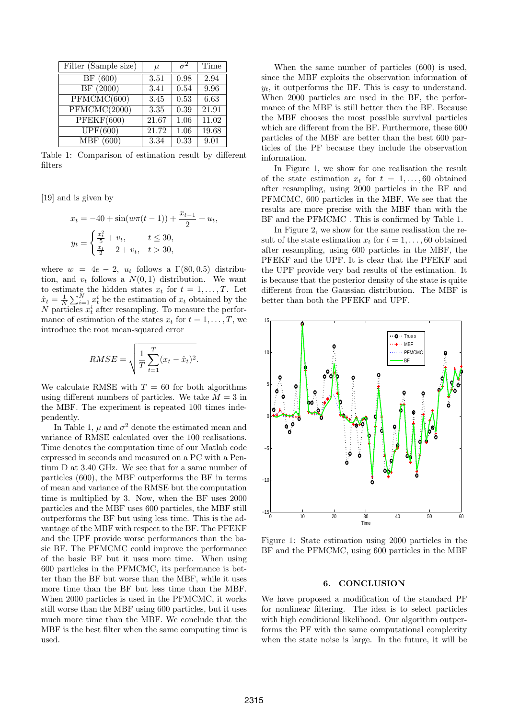| Filter (Sample size)          | $\mu$    | $\sigma^2$        | Time  |
|-------------------------------|----------|-------------------|-------|
| $\overline{\rm BF}$ (600)     | 3.51     | 0.98              | 2.94  |
| BF(2000)                      | 3.41     | 0.54              | 9.96  |
| PFMCMC(600)                   | 3.45     | 0.53              | 6.63  |
| PFMCMC(2000)                  | $3.35\,$ | 0.39              | 21.91 |
| PFEKF(600)                    | 21.67    | $\overline{1.06}$ | 11.02 |
| UPF(600)                      | 21.72    | 1.06              | 19.68 |
| $\overline{\text{MBF}}$ (600) | 3.34     | 0.33              | 9.01  |

Table 1: Comparison of estimation result by different filters

[19] and is given by

$$
x_t = -40 + \sin(w\pi(t-1)) + \frac{x_{t-1}}{2} + u_t,
$$
  

$$
y_t = \begin{cases} \frac{x_t^2}{5} + v_t, & t \le 30, \\ \frac{x_t}{2} - 2 + v_t, & t > 30, \end{cases}
$$

where  $w = 4e - 2$ ,  $u_t$  follows a  $\Gamma(80, 0.5)$  distribution, and  $v_t$  follows a  $N(0, 1)$  distribution. We want to estimate the hidden states  $x_t$  for  $t = 1, \ldots, T$ . Let  $\hat{x}_t = \frac{1}{N}$  $\frac{1}{N} \sum_{i=1}^{N} x_i^i$  be the estimation of  $x_t$  obtained by the N particles  $x_t^i$  after resampling. To measure the performance of estimation of the states  $x_t$  for  $t = 1, \ldots, T$ , we introduce the root mean-squared error

$$
RMSE = \sqrt{\frac{1}{T} \sum_{t=1}^{T} (x_t - \hat{x}_t)^2}.
$$

We calculate RMSE with  $T = 60$  for both algorithms using different numbers of particles. We take  $M = 3$  in the MBF. The experiment is repeated 100 times independently.

In Table 1,  $\mu$  and  $\sigma^2$  denote the estimated mean and variance of RMSE calculated over the 100 realisations. Time denotes the computation time of our Matlab code expressed in seconds and measured on a PC with a Pentium D at 3.40 GHz. We see that for a same number of particles (600), the MBF outperforms the BF in terms of mean and variance of the RMSE but the computation time is multiplied by 3. Now, when the BF uses 2000 particles and the MBF uses 600 particles, the MBF still outperforms the BF but using less time. This is the advantage of the MBF with respect to the BF. The PFEKF and the UPF provide worse performances than the basic BF. The PFMCMC could improve the performance of the basic BF but it uses more time. When using 600 particles in the PFMCMC, its performance is better than the BF but worse than the MBF, while it uses more time than the BF but less time than the MBF. When 2000 particles is used in the PFMCMC, it works still worse than the MBF using 600 particles, but it uses much more time than the MBF. We conclude that the MBF is the best filter when the same computing time is used.

When the same number of particles (600) is used, since the MBF exploits the observation information of  $y_t$ , it outperforms the BF. This is easy to understand. When 2000 particles are used in the BF, the performance of the MBF is still better then the BF. Because the MBF chooses the most possible survival particles which are different from the BF. Furthermore, these 600 particles of the MBF are better than the best 600 particles of the PF because they include the observation information.

In Figure 1, we show for one realisation the result of the state estimation  $x_t$  for  $t = 1, \ldots, 60$  obtained after resampling, using 2000 particles in the BF and PFMCMC, 600 particles in the MBF. We see that the results are more precise with the MBF than with the BF and the PFMCMC . This is confirmed by Table 1.

In Figure 2, we show for the same realisation the result of the state estimation  $x_t$  for  $t = 1, \ldots, 60$  obtained after resampling, using 600 particles in the MBF, the PFEKF and the UPF. It is clear that the PFEKF and the UPF provide very bad results of the estimation. It is because that the posterior density of the state is quite different from the Gaussian distribution. The MBF is better than both the PFEKF and UPF.



Figure 1: State estimation using 2000 particles in the BF and the PFMCMC, using 600 particles in the MBF

# 6. CONCLUSION

We have proposed a modification of the standard PF for nonlinear filtering. The idea is to select particles with high conditional likelihood. Our algorithm outperforms the PF with the same computational complexity when the state noise is large. In the future, it will be